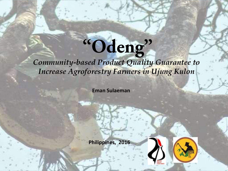# "Odeng"

*Community-based Product Quality Guarantee to Increase Agroforestry Farmers in Ujung Kulon*

**Eman Sulaeman** 

**Philippines, 2016**

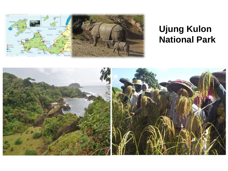

## **Ujung Kulon National Park**

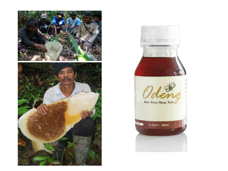

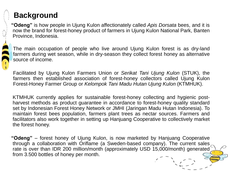#### **Background**

**"Odeng"** is how people in Ujung Kulon affectionately called *Apis Dorsata* bees, and it is now the brand for forest-honey product of farmers in Ujung Kulon National Park, Banten Province, Indonesia.

The main occupation of people who live around Ujung Kulon forest is as dry-land farmers during wet season, while in dry-season they collect forest honey as alternative source of income.

Facilitated by Ujung Kulon Farmers Union or *Serikat Tani Ujung Kulon* (STUK), the farmers then established association of forest-honey collectors called Ujung Kulon Forest-Honey Farmer Group or *Kelompok Tani Madu Hutan Ujung Kulon* (KTMHUK).

KTMHUK currently applies for sustainable forest-honey collecting and hygienic postharvest methods as product guarantee in accordance to forest-honey quality standard set by Indonesian Forest Honey Network or JMHI (Jaringan Madu Hutan Indonesia). To maintain forest bees population, farmers plant trees as nectar sources. Farmers and facilitators also work together in setting up Hanjuang Cooperative to collectively market the forest honey.

**"Odeng"** – forest honey of Ujung Kulon, is now marketed by Hanjuang Cooperative through a collaboration with Oriflame (a Sweden-based company). The current sales rate is over than IDR 200 million/month (approximately USD 15,000/month) generated from 3.500 bottles of honey per month.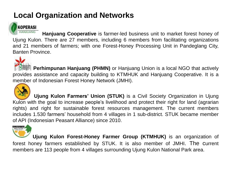### **Local Organization and Networks**



**Hanjuang Cooperative** is farmer-led business unit to market forest honey of Ujung Kulon. There are 27 members, including 6 members from facilitating organizations and 21 members of farmers; with one Forest-Honey Processing Unit in Pandeglang City, Banten Province.



**Perhimpunan Hanjuang (PHMN)** or Hanjuang Union is a local NGO that actively provides assistance and capacity building to KTMHUK and Hanjuang Cooperative. It is a member of Indonesian Forest Honey Network (JMHI).



**Ujung Kulon Farmers' Union (STUK)** is a Civil Society Organization in Ujung Kulon with the goal to increase people's livelihood and protect their right for land (agrarian rights) and right for sustainable forest resources management. The current members includes 1.530 farmers' household from 4 villages in 1 sub-district. STUK became member of API (Indonesian Peasant Alliance) since 2010.



**Ujung Kulon Forest-Honey Farmer Group (KTMHUK)** is an organization of forest honey farmers established by STUK. It is also member of JMHI. The current members are 113 people from 4 villages surrounding Ujung Kulon National Park area.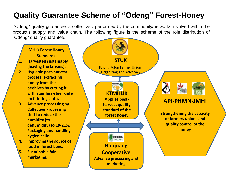### **Quality Guarantee Scheme of "Odeng" Forest-Honey**

"Odeng" quality guarantee is collectively performed by the community/networks involved within the product's supply and value chain. The following figure is the scheme of the role distribution of "Odeng" quality guarantee.

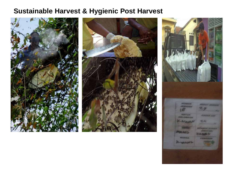#### **Sustainable Harvest & Hygienic Post Harvest**



KUNING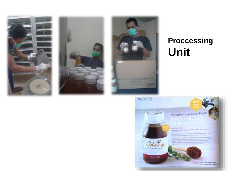





# **Proccessing** Unit

Wellbeing



were paramic designifiers perspectively, papers for

as an a contrast mona burgal benchmentered.

Nikmati manisnya hidup dengan

**Hultimer Oders** Clining which president joint is manual except future and helps finders.

TOMORRAN CURRENT ONE



Odeng

 $\rightarrow$ 

**School Inte** 

al Harry termeda 5,000 bonal setter Sularity's critic insura poors Hodo Flott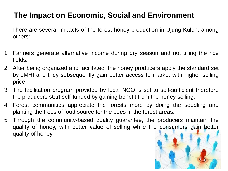#### **The Impact on Economic, Social and Environment**

There are several impacts of the forest honey production in Ujung Kulon, among others:

- 1. Farmers generate alternative income during dry season and not tilling the rice fields.
- 2. After being organized and facilitated, the honey producers apply the standard set by JMHI and they subsequently gain better access to market with higher selling price
- 3. The facilitation program provided by local NGO is set to self-sufficient therefore the producers start self-funded by gaining benefit from the honey selling.
- 4. Forest communities appreciate the forests more by doing the seedling and planting the trees of food source for the bees in the forest areas.
- 5. Through the community-based quality guarantee, the producers maintain the quality of honey, with better value of selling while the consumers gain better quality of honey.